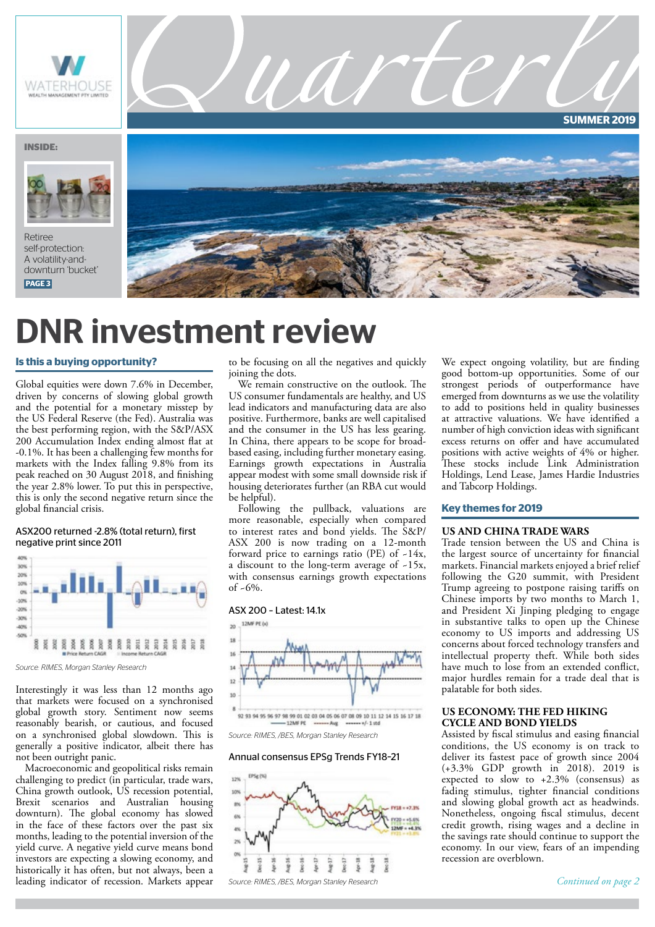

# DNR investment review

#### **Is this a buying opportunity?**

Global equities were down 7.6% in December, driven by concerns of slowing global growth and the potential for a monetary misstep by the US Federal Reserve (the Fed). Australia was the best performing region, with the S&P/ASX 200 Accumulation Index ending almost flat at -0.1%. It has been a challenging few months for markets with the Index falling 9.8% from its peak reached on 30 August 2018, and finishing the year 2.8% lower. To put this in perspective, this is only the second negative return since the global financial crisis.

#### ASX200 returned -2.8% (total return), first negative print since 2011



*Source: RIMES, Morgan Stanley Research* 

Interestingly it was less than 12 months ago that markets were focused on a synchronised global growth story. Sentiment now seems reasonably bearish, or cautious, and focused on a synchronised global slowdown. This is generally a positive indicator, albeit there has not been outright panic.

Macroeconomic and geopolitical risks remain challenging to predict (in particular, trade wars, China growth outlook, US recession potential, Brexit scenarios and Australian housing downturn). The global economy has slowed in the face of these factors over the past six months, leading to the potential inversion of the yield curve. A negative yield curve means bond investors are expecting a slowing economy, and historically it has often, but not always, been a leading indicator of recession. Markets appear

to be focusing on all the negatives and quickly joining the dots.

We remain constructive on the outlook. The US consumer fundamentals are healthy, and US lead indicators and manufacturing data are also positive. Furthermore, banks are well capitalised and the consumer in the US has less gearing. In China, there appears to be scope for broadbased easing, including further monetary easing. Earnings growth expectations in Australia appear modest with some small downside risk if housing deteriorates further (an RBA cut would be helpful).

Following the pullback, valuations are more reasonable, especially when compared to interest rates and bond yields. The S&P/ ASX 200 is now trading on a 12-month forward price to earnings ratio (PE) of -14x, a discount to the long-term average of ~15x, with consensus earnings growth expectations  $of -6\%$ .





*Source: RIMES, /BES, Morgan Stanley Research* 

#### Annual consensus EPSg Trends FY18–21



We expect ongoing volatility, but are finding good bottom-up opportunities. Some of our strongest periods of outperformance have emerged from downturns as we use the volatility to add to positions held in quality businesses at attractive valuations. We have identified a number of high conviction ideas with significant excess returns on offer and have accumulated positions with active weights of 4% or higher. These stocks include Link Administration Holdings, Lend Lease, James Hardie Industries and Tabcorp Holdings.

#### **Key themes for 2019**

#### **US AND CHINA TRADE WARS**

Trade tension between the US and China is the largest source of uncertainty for financial markets. Financial markets enjoyed a brief relief following the G20 summit, with President Trump agreeing to postpone raising tariffs on Chinese imports by two months to March 1, and President Xi Jinping pledging to engage in substantive talks to open up the Chinese economy to US imports and addressing US concerns about forced technology transfers and intellectual property theft. While both sides have much to lose from an extended conflict, major hurdles remain for a trade deal that is palatable for both sides.

### **US ECONOMY: THE FED HIKING CYCLE AND BOND YIELDS**

Assisted by fiscal stimulus and easing financial conditions, the US economy is on track to deliver its fastest pace of growth since 2004 (+3.3% GDP growth in 2018). 2019 is expected to slow to +2.3% (consensus) as fading stimulus, tighter financial conditions and slowing global growth act as headwinds. Nonetheless, ongoing fiscal stimulus, decent credit growth, rising wages and a decline in the savings rate should continue to support the economy. In our view, fears of an impending recession are overblown.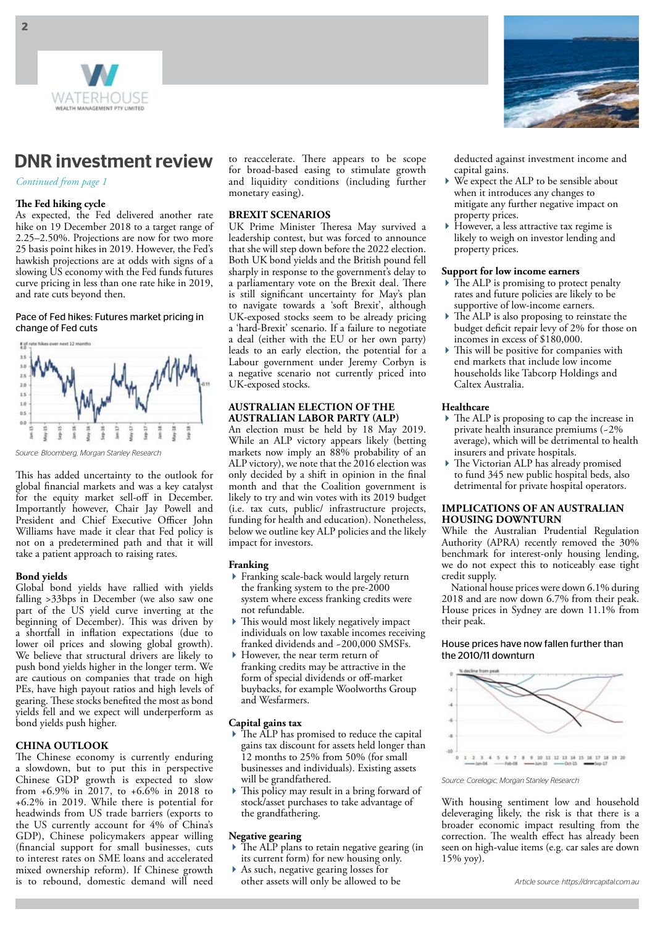

# DNR investment review

*Continued from page 1*

# **The Fed hiking cycle**

As expected, the Fed delivered another rate hike on 19 December 2018 to a target range of 2.25–2.50%. Projections are now for two more 25 basis point hikes in 2019. However, the Fed's hawkish projections are at odds with signs of a slowing US economy with the Fed funds futures curve pricing in less than one rate hike in 2019, and rate cuts beyond then.

#### Pace of Fed hikes: Futures market pricing in change of Fed cuts



*Source: Bloomberg, Morgan Stanley Research* 

This has added uncertainty to the outlook for global financial markets and was a key catalyst for the equity market sell-off in December. Importantly however, Chair Jay Powell and President and Chief Executive Officer John Williams have made it clear that Fed policy is not on a predetermined path and that it will take a patient approach to raising rates.

## **Bond yields**

Global bond yields have rallied with yields falling >33bps in December (we also saw one part of the US yield curve inverting at the beginning of December). This was driven by a shortfall in inflation expectations (due to lower oil prices and slowing global growth). We believe that structural drivers are likely to push bond yields higher in the longer term. We are cautious on companies that trade on high PEs, have high payout ratios and high levels of gearing. These stocks benefited the most as bond yields fell and we expect will underperform as bond yields push higher.

# **CHINA OUTLOOK**

The Chinese economy is currently enduring a slowdown, but to put this in perspective Chinese GDP growth is expected to slow from +6.9% in 2017, to +6.6% in 2018 to +6.2% in 2019. While there is potential for headwinds from US trade barriers (exports to the US currently account for 4% of China's GDP), Chinese policymakers appear willing (financial support for small businesses, cuts to interest rates on SME loans and accelerated mixed ownership reform). If Chinese growth is to rebound, domestic demand will need

to reaccelerate. There appears to be scope for broad-based easing to stimulate growth and liquidity conditions (including further monetary easing).

### **BREXIT SCENARIOS**

UK Prime Minister Theresa May survived a leadership contest, but was forced to announce that she will step down before the 2022 election. Both UK bond yields and the British pound fell sharply in response to the government's delay to a parliamentary vote on the Brexit deal. There is still significant uncertainty for May's plan to navigate towards a 'soft Brexit', although UK-exposed stocks seem to be already pricing a 'hard-Brexit' scenario. If a failure to negotiate a deal (either with the EU or her own party) leads to an early election, the potential for a Labour government under Jeremy Corbyn is a negative scenario not currently priced into UK-exposed stocks.

# **AUSTRALIAN ELECTION OF THE AUSTRALIAN LABOR PARTY (ALP)**

An election must be held by 18 May 2019. While an ALP victory appears likely (betting markets now imply an 88% probability of an ALP victory), we note that the 2016 election was only decided by a shift in opinion in the final month and that the Coalition government is likely to try and win votes with its 2019 budget (i.e. tax cuts, public/ infrastructure projects, funding for health and education). Nonetheless, below we outline key ALP policies and the likely impact for investors.

#### **Franking**

- Franking scale-back would largely return the franking system to the pre-2000 system where excess franking credits were not refundable.
- This would most likely negatively impact individuals on low taxable incomes receiving franked dividends and ~200,000 SMSFs.
- However, the near term return of franking credits may be attractive in the form of special dividends or off-market buybacks, for example Woolworths Group and Wesfarmers.

## **Capital gains tax**

- ▶ The ALP has promised to reduce the capital gains tax discount for assets held longer than 12 months to 25% from 50% (for small businesses and individuals). Existing assets will be grandfathered.
- This policy may result in a bring forward of stock/asset purchases to take advantage of the grandfathering.

#### **Negative gearing**

- $\triangleright$  The ALP plans to retain negative gearing (in its current form) for new housing only.
- As such, negative gearing losses for other assets will only be allowed to be



deducted against investment income and capital gains.

- We expect the ALP to be sensible about when it introduces any changes to mitigate any further negative impact on property prices.
- However, a less attractive tax regime is likely to weigh on investor lending and property prices.

# **Support for low income earners**

- $\blacktriangleright$  The ALP is promising to protect penalty rates and future policies are likely to be supportive of low-income earners.
- The ALP is also proposing to reinstate the budget deficit repair levy of 2% for those on incomes in excess of \$180,000.
- This will be positive for companies with end markets that include low income households like Tabcorp Holdings and Caltex Australia.

## **Healthcare**

- The ALP is proposing to cap the increase in private health insurance premiums (~2% average), which will be detrimental to health insurers and private hospitals.
- The Victorian ALP has already promised to fund 345 new public hospital beds, also detrimental for private hospital operators.

#### **IMPLICATIONS OF AN AUSTRALIAN HOUSING DOWNTURN**

While the Australian Prudential Regulation Authority (APRA) recently removed the 30% benchmark for interest-only housing lending, we do not expect this to noticeably ease tight credit supply.

National house prices were down 6.1% during 2018 and are now down 6.7% from their peak. House prices in Sydney are down 11.1% from their peak.

#### House prices have now fallen further than the 2010/11 downturn



*Source: Corelogic, Morgan Stanley Research*

With housing sentiment low and household deleveraging likely, the risk is that there is a broader economic impact resulting from the correction. The wealth effect has already been seen on high-value items (e.g. car sales are down 15% yoy).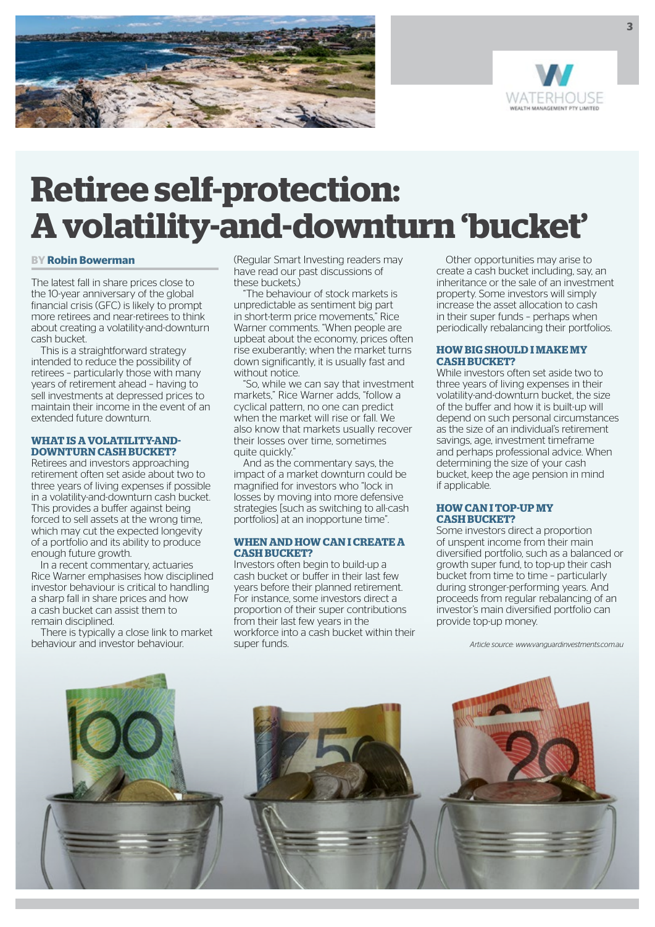



# **Retiree self-protection: A volatility-and-downturn 'bucket'**

#### **BY Robin Bowerman**

The latest fall in share prices close to the 10-year anniversary of the global financial crisis (GFC) is likely to prompt more retirees and near-retirees to think about creating a volatility-and-downturn cash bucket.

This is a straightforward strategy intended to reduce the possibility of retirees – particularly those with many years of retirement ahead – having to sell investments at depressed prices to maintain their income in the event of an extended future downturn.

# **WHAT IS A VOLATILITY-AND-DOWNTURN CASH BUCKET?**

Retirees and investors approaching retirement often set aside about two to three years of living expenses if possible in a volatility-and-downturn cash bucket. This provides a buffer against being forced to sell assets at the wrong time, which may cut the expected longevity of a portfolio and its ability to produce enough future growth.

In a recent commentary, actuaries Rice Warner emphasises how disciplined investor behaviour is critical to handling a sharp fall in share prices and how a cash bucket can assist them to remain disciplined.

There is typically a close link to market behaviour and investor behaviour.

(Regular Smart Investing readers may have read our past discussions of these buckets.)

The behaviour of stock markets is unpredictable as sentiment big part in short-term price movements," Rice Warner comments. "When people are upbeat about the economy, prices often rise exuberantly; when the market turns down significantly, it is usually fast and without notice.

"So, while we can say that investment markets," Rice Warner adds, "follow a cyclical pattern, no one can predict when the market will rise or fall. We also know that markets usually recover their losses over time, sometimes quite quickly."

And as the commentary says, the impact of a market downturn could be magnified for investors who "lock in losses by moving into more defensive strategies [such as switching to all-cash portfolios] at an inopportune time".

#### **WHEN AND HOW CAN I CREATE A CASH BUCKET?**

Investors often begin to build-up a cash bucket or buffer in their last few years before their planned retirement. For instance, some investors direct a proportion of their super contributions from their last few years in the workforce into a cash bucket within their super funds.

Other opportunities may arise to create a cash bucket including, say, an inheritance or the sale of an investment property. Some investors will simply increase the asset allocation to cash in their super funds – perhaps when periodically rebalancing their portfolios.

# **HOW BIG SHOULD I MAKE MY CASH BUCKET?**

While investors often set aside two to three years of living expenses in their volatility-and-downturn bucket, the size of the buffer and how it is built-up will depend on such personal circumstances as the size of an individual's retirement savings, age, investment timeframe and perhaps professional advice. When determining the size of your cash bucket, keep the age pension in mind if applicable.

#### **HOW CAN I TOP-UP MY CASH BUCKET?**

Some investors direct a proportion of unspent income from their main diversified portfolio, such as a balanced or growth super fund, to top-up their cash bucket from time to time – particularly during stronger-performing years. And proceeds from regular rebalancing of an investor's main diversified portfolio can provide top-up money.

*Article source: www.vanguardinvestments.com.au*